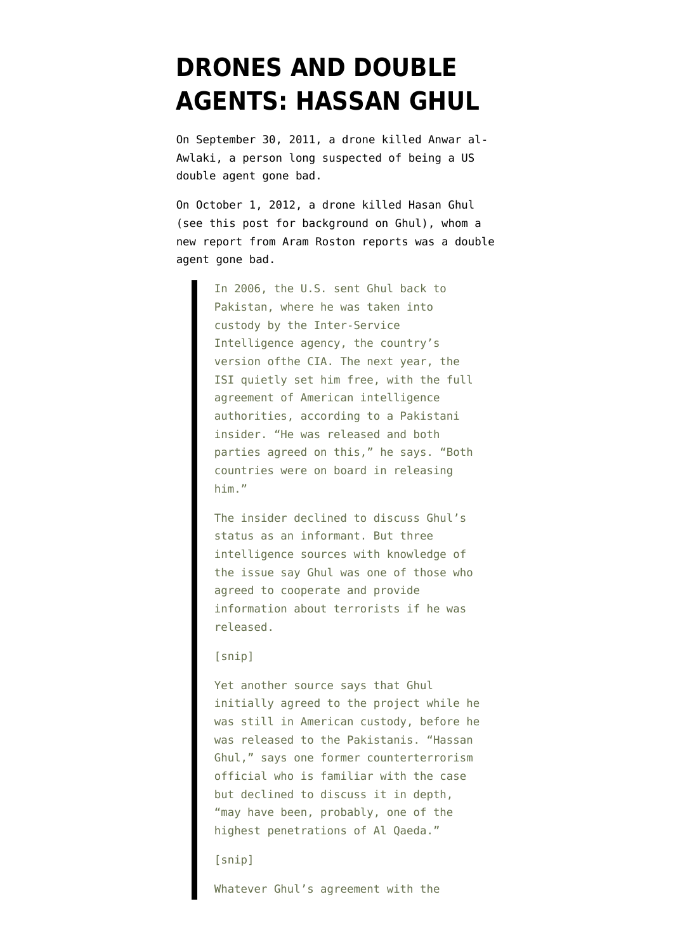## **[DRONES AND DOUBLE](https://www.emptywheel.net/2014/01/09/drones-and-double-agents-hassan-ghul/) [AGENTS: HASSAN GHUL](https://www.emptywheel.net/2014/01/09/drones-and-double-agents-hassan-ghul/)**

On September 30, 2011, a drone killed Anwar al-Awlaki, a person long suspected of being a US double agent gone bad.

On October 1, 2012, a drone killed Hasan Ghul ([see this post for background on Ghul](http://www.emptywheel.net/2011/05/05/the-weird-circumstances-surrounding-hassan-ghuls-interrogation/)), whom a [new report](http://www.vocativ.com/01-2014/cloak-drone-strange-saga-al-qaeda-triple-agent/) from Aram Roston reports was a double agent gone bad.

> In 2006, the U.S. sent Ghul back to Pakistan, where he was taken into custody by the Inter-Service Intelligence agency, the country's version ofthe CIA. The next year, the ISI quietly set him free, with the full agreement of American intelligence authorities, according to a Pakistani insider. "He was released and both parties agreed on this," he says. "Both countries were on board in releasing him."

> The insider declined to discuss Ghul's status as an informant. But three intelligence sources with knowledge of the issue say Ghul was one of those who agreed to cooperate and provide information about terrorists if he was released.

## [snip]

Yet another source says that Ghul initially agreed to the project while he was still in American custody, before he was released to the Pakistanis. "Hassan Ghul," says one former counterterrorism official who is familiar with the case but declined to discuss it in depth, "may have been, probably, one of the highest penetrations of Al Qaeda."

## [snip]

Whatever Ghul's agreement with the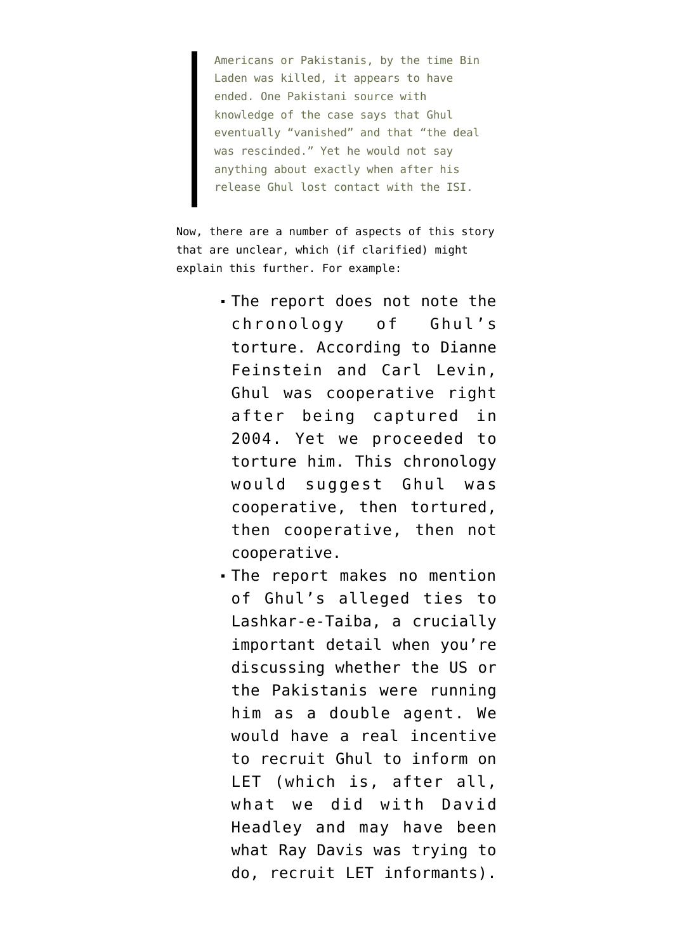Americans or Pakistanis, by the time Bin Laden was killed, it appears to have ended. One Pakistani source with knowledge of the case says that Ghul eventually "vanished" and that "the deal was rescinded." Yet he would not say anything about exactly when after his release Ghul lost contact with the ISI.

Now, there are a number of aspects of this story that are unclear, which (if clarified) might explain this further. For example:

- The report does not note the chronology of Ghul's torture. [According to Dianne](http://www.emptywheel.net/2012/04/30/feinstein-and-levin-hassan-ghul-revealed-abu-al-kuwaitis-role-and-then-we-tortured-him/) [Feinstein and Carl Levin](http://www.emptywheel.net/2012/04/30/feinstein-and-levin-hassan-ghul-revealed-abu-al-kuwaitis-role-and-then-we-tortured-him/), Ghul was cooperative right after being captured in 2004. Yet we proceeded to torture him. This chronology would suggest Ghul was cooperative, then tortured, then cooperative, then not cooperative.
- The report makes no mention of Ghul's [alleged ties](http://www.washingtonpost.com/world/national-security/documents-reveal-nsas-extensive-involvement-in-targeted-killing-program/2013/10/16/29775278-3674-11e3-8a0e-4e2cf80831fc_print.html) to Lashkar-e-Taiba, a crucially important detail when you're discussing whether the US or the Pakistanis were running him as a double agent. We would have a real incentive to recruit Ghul to inform on LET (which is, after all, what we did with David Headley and may have been what Ray Davis was trying to do, recruit LET informants).